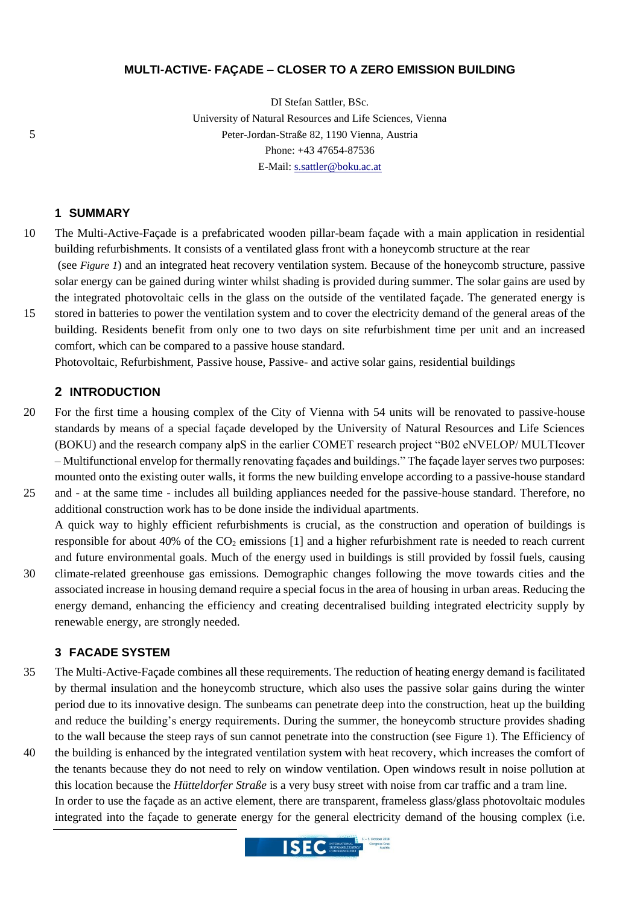#### **MULTI-ACTIVE- FAÇADE – CLOSER TO A ZERO EMISSION BUILDING**

DI Stefan Sattler, BSc. University of Natural Resources and Life Sciences, Vienna 5 Peter-Jordan-Straße 82, 1190 Vienna, Austria Phone: +43 47654-87536 E-Mail: [s.sattler@boku.ac.at](mailto:s.sattler@boku.ac.at)

## **1 SUMMARY**

- 10 The Multi-Active-Façade is a prefabricated wooden pillar-beam façade with a main application in residential building refurbishments. It consists of a ventilated glass front with a honeycomb structure at the rear (see *[Figure 1](#page-1-0)*) and an integrated heat recovery ventilation system. Because of the honeycomb structure, passive solar energy can be gained during winter whilst shading is provided during summer. The solar gains are used by the integrated photovoltaic cells in the glass on the outside of the ventilated façade. The generated energy is
- 15 stored in batteries to power the ventilation system and to cover the electricity demand of the general areas of the building. Residents benefit from only one to two days on site refurbishment time per unit and an increased comfort, which can be compared to a passive house standard.

Photovoltaic, Refurbishment, Passive house, Passive- and active solar gains, residential buildings

#### **2 INTRODUCTION**

- 20 For the first time a housing complex of the City of Vienna with 54 units will be renovated to passive-house standards by means of a special façade developed by the University of Natural Resources and Life Sciences (BOKU) and the research company alpS in the earlier COMET research project "B02 eNVELOP/ MULTIcover – Multifunctional envelop for thermally renovating façades and buildings." The façade layer serves two purposes: mounted onto the existing outer walls, it forms the new building envelope according to a passive-house standard 25 and - at the same time - includes all building appliances needed for the passive-house standard. Therefore, no
- additional construction work has to be done inside the individual apartments. A quick way to highly efficient refurbishments is crucial, as the construction and operation of buildings is
- responsible for about 40% of the  $CO<sub>2</sub>$  emissions [\[1\]](#page-1-1) and a higher refurbishment rate is needed to reach current and future environmental goals. Much of the energy used in buildings is still provided by fossil fuels, causing 30 climate-related greenhouse gas emissions. Demographic changes following the move towards cities and the associated increase in housing demand require a special focus in the area of housing in urban areas. Reducing the energy demand, enhancing the efficiency and creating decentralised building integrated electricity supply by renewable energy, are strongly needed.

### **3 FACADE SYSTEM**

- 35 The Multi-Active-Façade combines all these requirements. The reduction of heating energy demand is facilitated by thermal insulation and the honeycomb structure, which also uses the passive solar gains during the winter period due to its innovative design. The sunbeams can penetrate deep into the construction, heat up the building and reduce the building's energy requirements. During the summer, the honeycomb structure provides shading to the wall because the steep rays of sun cannot penetrate into the construction (see [Figure 1](#page-1-0)). The Efficiency of
- 40 the building is enhanced by the integrated ventilation system with heat recovery, which increases the comfort of the tenants because they do not need to rely on window ventilation. Open windows result in noise pollution at this location because the *Hütteldorfer Straße* is a very busy street with noise from car traffic and a tram line. In order to use the façade as an active element, there are transparent, frameless glass/glass photovoltaic modules integrated into the façade to generate energy for the general electricity demand of the housing complex (i.e.